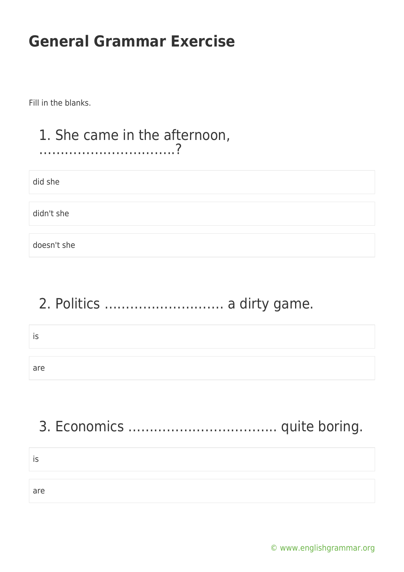Fill in the blanks.

#### 1. She came in the afternoon, …………………………..?

did she

didn't she

doesn't she

## 2. Politics ………………………. a dirty game.

| ۔ ب |  |
|-----|--|
|     |  |
| are |  |

# 3. Economics …………………………….. quite boring.

is

are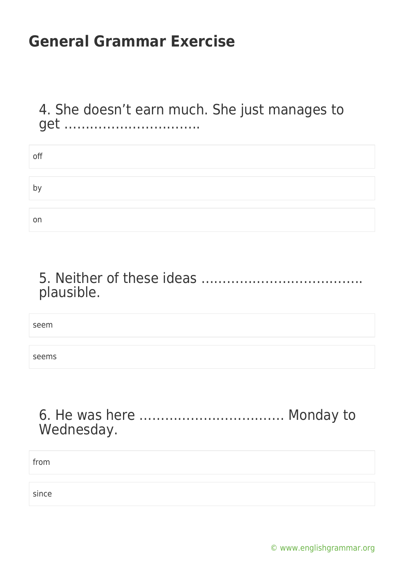4. She doesn't earn much. She just manages to get …………………………..

| off |  |
|-----|--|
|     |  |
| b'  |  |
|     |  |
| on  |  |

#### 5. Neither of these ideas ……………………………….. plausible.

seem

seems

#### 6. He was here ……………………………. Monday to Wednesday.

from

since

[© www.englishgrammar.org](https://www.englishgrammar.org/)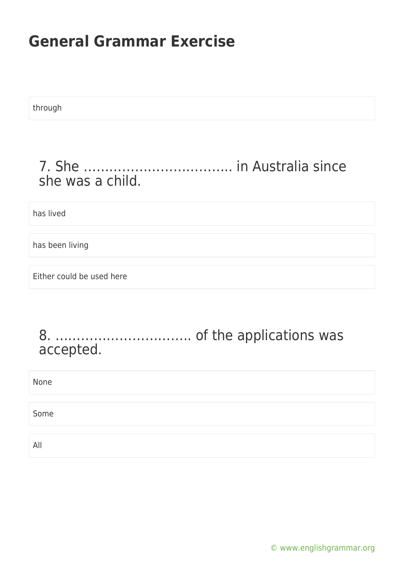through

#### 7. She …………………………….. in Australia since she was a child.

has lived

has been living

Either could be used here

#### 8. ………………………….. of the applications was accepted.

| None |  |
|------|--|
| Some |  |
|      |  |
| All  |  |

[© www.englishgrammar.org](https://www.englishgrammar.org/)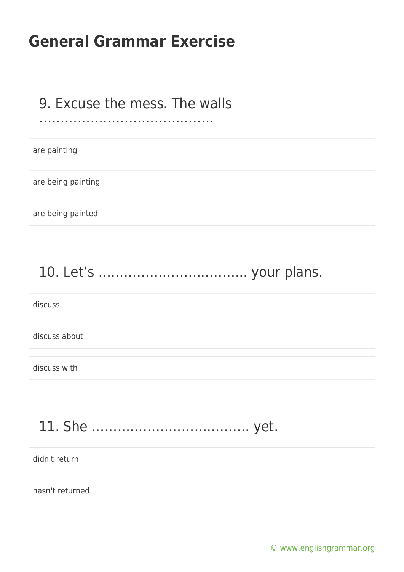#### 9. Excuse the mess. The walls

#### ……………………………………………………………

are painting

are being painting

are being painted

# 10. Let's …………………………….. your plans.

discuss

discuss about

discuss with

### 11. She ………………………………. yet.

didn't return

hasn't returned

[© www.englishgrammar.org](https://www.englishgrammar.org/)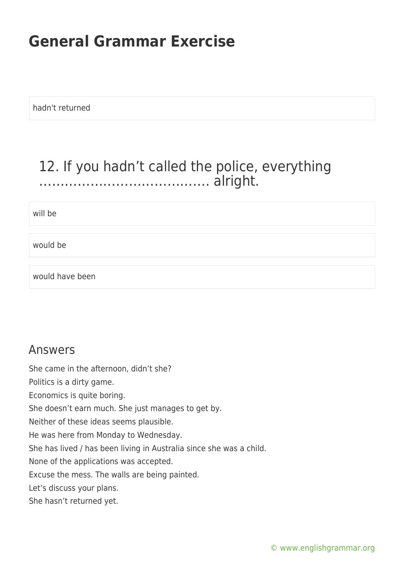hadn't returned

#### 12. If you hadn't called the police, everything …………………………………. alright.

will be

would be

would have been

#### Answers

She came in the afternoon, didn't she?

Politics is a dirty game.

Economics is quite boring.

She doesn't earn much. She just manages to get by.

Neither of these ideas seems plausible.

He was here from Monday to Wednesday.

She has lived / has been living in Australia since she was a child.

None of the applications was accepted.

Excuse the mess. The walls are being painted.

Let's discuss your plans.

She hasn't returned yet.